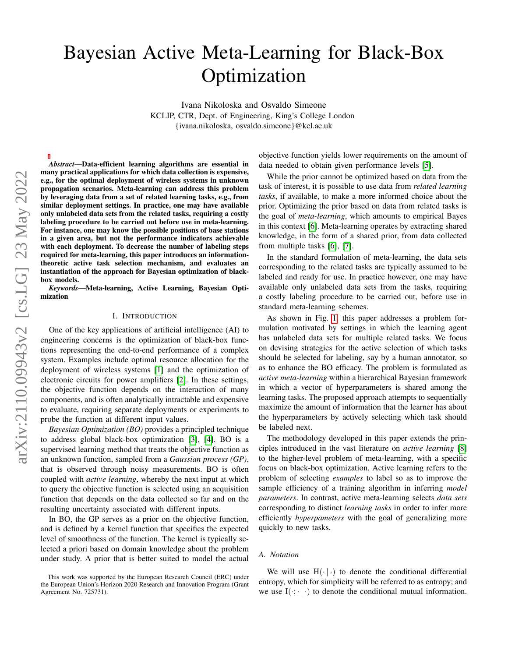# Bayesian Active Meta-Learning for Black-Box **Optimization**

Ivana Nikoloska and Osvaldo Simeone KCLIP, CTR, Dept. of Engineering, King's College London {ivana.nikoloska, osvaldo.simeone}@kcl.ac.uk

*Abstract*—Data-efficient learning algorithms are essential in many practical applications for which data collection is expensive, e.g., for the optimal deployment of wireless systems in unknown propagation scenarios. Meta-learning can address this problem by leveraging data from a set of related learning tasks, e.g., from similar deployment settings. In practice, one may have available only unlabeled data sets from the related tasks, requiring a costly labeling procedure to be carried out before use in meta-learning. For instance, one may know the possible positions of base stations in a given area, but not the performance indicators achievable with each deployment. To decrease the number of labeling steps required for meta-learning, this paper introduces an informationtheoretic active task selection mechanism, and evaluates an instantiation of the approach for Bayesian optimization of blackbox models.

*Keywords*—Meta-learning, Active Learning, Bayesian Optimization

## I. INTRODUCTION

One of the key applications of artificial intelligence (AI) to engineering concerns is the optimization of black-box functions representing the end-to-end performance of a complex system. Examples include optimal resource allocation for the deployment of wireless systems [\[1\]](#page-4-0) and the optimization of electronic circuits for power amplifiers [\[2\]](#page-4-1). In these settings, the objective function depends on the interaction of many components, and is often analytically intractable and expensive to evaluate, requiring separate deployments or experiments to probe the function at different input values.

*Bayesian Optimization (BO)* provides a principled technique to address global black-box optimization [\[3\]](#page-4-2), [\[4\]](#page-4-3). BO is a supervised learning method that treats the objective function as an unknown function, sampled from a *Gaussian process (GP)*, that is observed through noisy measurements. BO is often coupled with *active learning*, whereby the next input at which to query the objective function is selected using an acquisition function that depends on the data collected so far and on the resulting uncertainty associated with different inputs.

In BO, the GP serves as a prior on the objective function, and is defined by a kernel function that specifies the expected level of smoothness of the function. The kernel is typically selected a priori based on domain knowledge about the problem under study. A prior that is better suited to model the actual

This work was supported by the European Research Council (ERC) under the European Union's Horizon 2020 Research and Innovation Program (Grant Agreement No. 725731).

objective function yields lower requirements on the amount of data needed to obtain given performance levels [\[5\]](#page-4-4).

While the prior cannot be optimized based on data from the task of interest, it is possible to use data from *related learning tasks*, if available, to make a more informed choice about the prior. Optimizing the prior based on data from related tasks is the goal of *meta-learning*, which amounts to empirical Bayes in this context [\[6\]](#page-4-5). Meta-learning operates by extracting shared knowledge, in the form of a shared prior, from data collected from multiple tasks [\[6\]](#page-4-5), [\[7\]](#page-4-6).

In the standard formulation of meta-learning, the data sets corresponding to the related tasks are typically assumed to be labeled and ready for use. In practice however, one may have available only unlabeled data sets from the tasks, requiring a costly labeling procedure to be carried out, before use in standard meta-learning schemes.

As shown in Fig. [1,](#page-1-0) this paper addresses a problem formulation motivated by settings in which the learning agent has unlabeled data sets for multiple related tasks. We focus on devising strategies for the active selection of which tasks should be selected for labeling, say by a human annotator, so as to enhance the BO efficacy. The problem is formulated as *active meta-learning* within a hierarchical Bayesian framework in which a vector of hyperparameters is shared among the learning tasks. The proposed approach attempts to sequentially maximize the amount of information that the learner has about the hyperparameters by actively selecting which task should be labeled next.

The methodology developed in this paper extends the principles introduced in the vast literature on *active learning* [\[8\]](#page-4-7) to the higher-level problem of meta-learning, with a specific focus on black-box optimization. Active learning refers to the problem of selecting *examples* to label so as to improve the sample efficiency of a training algorithm in inferring *model parameters*. In contrast, active meta-learning selects *data sets* corresponding to distinct *learning tasks* in order to infer more efficiently *hyperpameters* with the goal of generalizing more quickly to new tasks.

#### *A. Notation*

We will use  $H(\cdot | \cdot)$  to denote the conditional differential entropy, which for simplicity will be referred to as entropy; and we use  $I(\cdot; \cdot | \cdot)$  to denote the conditional mutual information.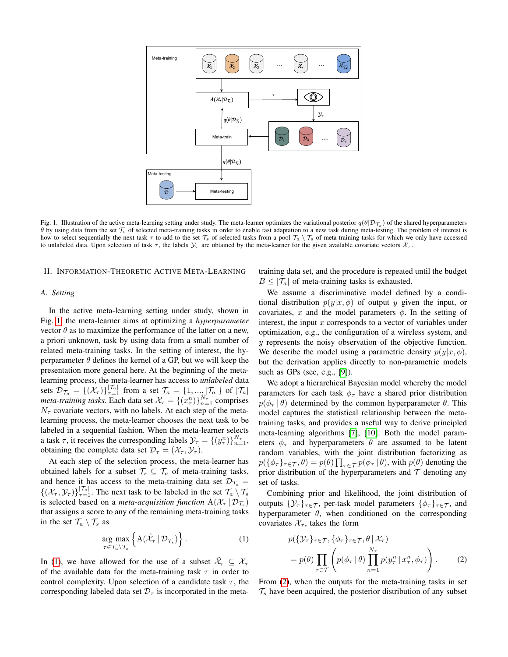

<span id="page-1-0"></span>Fig. 1. Illustration of the active meta-learning setting under study. The meta-learner optimizes the variational posterior  $q(\theta|\mathcal{D}_{\mathcal{T}_s})$  of the shared hyperparameters  $\theta$  by using data from the set  $\mathcal{T}_s$  of selected meta-training tasks in order to enable fast adaptation to a new task during meta-testing. The problem of interest is how to select sequentially the next task  $\tau$  to add to the set  $\mathcal{T}_s$  of selected tasks from a pool  $\mathcal{T}_a \setminus \mathcal{T}_s$  of meta-training tasks for which we only have accessed to unlabeled data. Upon selection of task  $\tau$ , the labels  $\mathcal{Y}_{\tau}$  are obtained by the meta-learner for the given available covariate vectors  $\mathcal{X}_{\tau}$ .

## II. INFORMATION-THEORETIC ACTIVE META-LEARNING

### *A. Setting*

In the active meta-learning setting under study, shown in Fig. [1,](#page-1-0) the meta-learner aims at optimizing a *hyperparameter* vector  $\theta$  as to maximize the performance of the latter on a new, a priori unknown, task by using data from a small number of related meta-training tasks. In the setting of interest, the hyperparameter  $\theta$  defines the kernel of a GP, but we will keep the presentation more general here. At the beginning of the metalearning process, the meta-learner has access to *unlabeled* data sets  $\mathcal{D}_{\mathcal{T}_a} = \{(\mathcal{X}_{\tau})\}_{\tau=1}^{|\mathcal{T}_a|}$  from a set  $\mathcal{T}_a = \{1, \ldots, |\mathcal{T}_a|\}$  of  $|\mathcal{T}_a|$ *meta-training tasks.* Each data set  $\mathcal{X}_{\tau} = \{ (x_{\tau}^{n}) \}_{n=1}^{N_{\tau}}$  comprises  $N_{\tau}$  covariate vectors, with no labels. At each step of the metalearning process, the meta-learner chooses the next task to be labeled in a sequential fashion. When the meta-learner selects a task  $\tau$ , it receives the corresponding labels  $\mathcal{Y}_{\tau} = \{(y_{\tau}^n)\}_{n=1}^{N_{\tau}}$ , obtaining the complete data set  $\mathcal{D}_{\tau} = (\mathcal{X}_{\tau}, \mathcal{Y}_{\tau}).$ 

At each step of the selection process, the meta-learner has obtained labels for a subset  $\mathcal{T}_s \subseteq \mathcal{T}_a$  of meta-training tasks, and hence it has access to the meta-training data set  $\mathcal{D}_{\mathcal{T}_{s}} =$  $\{(\mathcal{X}_{\tau}, \mathcal{Y}_{\tau})\}_{\tau=1}^{|\mathcal{T}_{s}|}$ . The next task to be labeled in the set  $\mathcal{T}_{a} \setminus \mathcal{T}_{s}$ is selected based on a *meta-acquisition function*  $A(\mathcal{X}_{\tau} | \mathcal{D}_{\mathcal{T}_s})$ that assigns a score to any of the remaining meta-training tasks in the set  $\mathcal{T}_a \setminus \mathcal{T}_s$  as

$$
\underset{\tau \in \mathcal{T}_a \setminus \mathcal{T}_s}{\arg \max} \left\{ \mathbf{A}(\tilde{\mathcal{X}}_{\tau} \mid \mathcal{D}_{\mathcal{T}_s}) \right\}.
$$
 (1)

In [\(1\)](#page-1-1), we have allowed for the use of a subset  $\tilde{\mathcal{X}}_{\tau} \subseteq \mathcal{X}_{\tau}$ of the available data for the meta-training task  $\tau$  in order to control complexity. Upon selection of a candidate task  $\tau$ , the corresponding labeled data set  $\mathcal{D}_{\tau}$  is incorporated in the metatraining data set, and the procedure is repeated until the budget  $B \leq |\mathcal{T}_a|$  of meta-training tasks is exhausted.

We assume a discriminative model defined by a conditional distribution  $p(y|x, \phi)$  of output y given the input, or covariates, x and the model parameters  $\phi$ . In the setting of interest, the input  $x$  corresponds to a vector of variables under optimization, e.g., the configuration of a wireless system, and y represents the noisy observation of the objective function. We describe the model using a parametric density  $p(y|x, \phi)$ , but the derivation applies directly to non-parametric models such as GPs (see, e.g., [\[9\]](#page-4-8)).

We adopt a hierarchical Bayesian model whereby the model parameters for each task  $\phi_{\tau}$  have a shared prior distribution  $p(\phi_{\tau} | \theta)$  determined by the common hyperparameter  $\theta$ . This model captures the statistical relationship between the metatraining tasks, and provides a useful way to derive principled meta-learning algorithms [\[7\]](#page-4-6), [\[10\]](#page-4-9). Both the model parameters  $\phi_{\tau}$  and hyperparameters  $\theta$  are assumed to be latent random variables, with the joint distribution factorizing as  $p(\{\phi_\tau\}_{\tau \in \mathcal{T}}, \theta) = p(\theta) \prod_{\tau \in \mathcal{T}} p(\phi_\tau | \theta)$ , with  $p(\theta)$  denoting the prior distribution of the hyperparameters and  $T$  denoting any set of tasks.

<span id="page-1-1"></span>Combining prior and likelihood, the joint distribution of outputs  $\{\mathcal{Y}_{\tau}\}_{{\tau}\in\mathcal{T}}$ , per-task model parameters  $\{\phi_{\tau}\}_{{\tau}\in\mathcal{T}}$ , and hyperparameter  $\theta$ , when conditioned on the corresponding covariates  $\mathcal{X}_{\tau}$ , takes the form

<span id="page-1-2"></span>
$$
p(\{\mathcal{Y}_{\tau}\}_{\tau \in \mathcal{T}}, \{\phi_{\tau}\}_{\tau \in \mathcal{T}}, \theta | \mathcal{X}_{\tau})
$$
  
=  $p(\theta) \prod_{\tau \in \mathcal{T}} \left( p(\phi_{\tau} | \theta) \prod_{n=1}^{N_{\tau}} p(y_{\tau}^{n} | x_{\tau}^{n}, \phi_{\tau}) \right).$  (2)

From [\(2\)](#page-1-2), when the outputs for the meta-training tasks in set  $\mathcal{T}_s$  have been acquired, the posterior distribution of any subset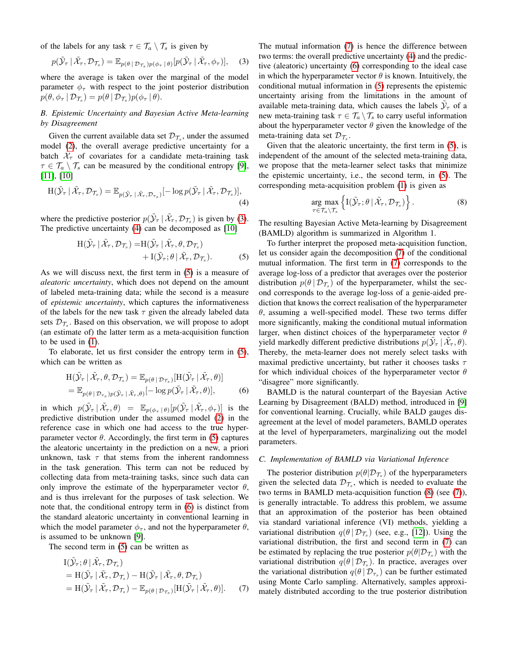of the labels for any task  $\tau \in \mathcal{T}_a \setminus \mathcal{T}_s$  is given by

$$
p(\tilde{\mathcal{Y}}_{\tau} | \tilde{\mathcal{X}}_{\tau}, \mathcal{D}_{\mathcal{T}_s}) = \mathbb{E}_{p(\theta | \mathcal{D}_{\mathcal{T}_s})p(\phi_{\tau} | \theta)}[p(\tilde{\mathcal{Y}}_{\tau} | \tilde{\mathcal{X}}_{\tau}, \phi_{\tau})], \quad (3)
$$

where the average is taken over the marginal of the model parameter  $\phi_{\tau}$  with respect to the joint posterior distribution  $p(\theta, \phi_\tau | \mathcal{D}_{\mathcal{T}_s}) = p(\theta | \mathcal{D}_{\mathcal{T}_s}) p(\phi_\tau | \theta).$ 

## *B. Epistemic Uncertainty and Bayesian Active Meta-learning by Disagreement*

Given the current available data set  $\mathcal{D}_{\mathcal{T}_s}$ , under the assumed model [\(2\)](#page-1-2), the overall average predictive uncertainty for a batch  $\tilde{\mathcal{X}}_{\tau}$  of covariates for a candidate meta-training task  $\tau \in \mathcal{T}_a \setminus \mathcal{T}_s$  can be measured by the conditional entropy [\[9\]](#page-4-8), [\[11\]](#page-4-10), [\[10\]](#page-4-9)

$$
H(\tilde{\mathcal{Y}}_{\tau} | \tilde{\mathcal{X}}_{\tau}, \mathcal{D}_{\mathcal{T}_s}) = \mathbb{E}_{p(\tilde{\mathcal{Y}}_{\tau} | \tilde{\mathcal{X}}_{\tau}, \mathcal{D}_{\tau_s})}[-\log p(\tilde{\mathcal{Y}}_{\tau} | \tilde{\mathcal{X}}_{\tau}, \mathcal{D}_{\mathcal{T}_s})],
$$
\n(4)

where the predictive posterior  $p(\tilde{\mathcal{Y}}_{\tau} | \tilde{\mathcal{X}}_{\tau}, \mathcal{D}_{\mathcal{T}_s})$  is given by [\(3\)](#page-2-0). The predictive uncertainty [\(4\)](#page-2-1) can be decomposed as [\[10\]](#page-4-9)

$$
H(\tilde{\mathcal{Y}}_{\tau} | \tilde{\mathcal{X}}_{\tau}, \mathcal{D}_{\mathcal{T}_s}) = H(\tilde{\mathcal{Y}}_{\tau} | \tilde{\mathcal{X}}_{\tau}, \theta, \mathcal{D}_{\mathcal{T}_s}) + I(\tilde{\mathcal{Y}}_{\tau}; \theta | \tilde{\mathcal{X}}_{\tau}, \mathcal{D}_{\mathcal{T}_s}).
$$
 (5)

As we will discuss next, the first term in [\(5\)](#page-2-2) is a measure of *aleatoric uncertainty*, which does not depend on the amount of labeled meta-training data; while the second is a measure of *epistemic uncertainty*, which captures the informativeness of the labels for the new task  $\tau$  given the already labeled data sets  $\mathcal{D}_{\mathcal{T}_s}$ . Based on this observation, we will propose to adopt (an estimate of) the latter term as a meta-acquisition function to be used in [\(1\)](#page-1-1).

To elaborate, let us first consider the entropy term in [\(5\)](#page-2-2), which can be written as

$$
\begin{split} \mathcal{H}(\tilde{\mathcal{Y}}_{\tau} \mid \tilde{\mathcal{X}}_{\tau}, \theta, \mathcal{D}_{\mathcal{T}_s}) &= \mathbb{E}_{p(\theta \mid \mathcal{D}_{\mathcal{T}_s})}[\mathcal{H}(\tilde{\mathcal{Y}}_{\tau} \mid \tilde{\mathcal{X}}_{\tau}, \theta)] \\ &= \mathbb{E}_{p(\theta \mid \mathcal{D}_{\tau_s})p(\tilde{\mathcal{Y}}_{\tau} \mid \tilde{\mathcal{X}}_{\tau}, \theta)}[-\log p(\tilde{\mathcal{Y}}_{\tau} \mid \tilde{\mathcal{X}}_{\tau}, \theta)], \end{split} \tag{6}
$$

in which  $p(\tilde{\mathcal{Y}}_{\tau} | \tilde{\mathcal{X}}_{\tau}, \theta) = \mathbb{E}_{p(\phi_{\tau} | \theta)}[p(\tilde{\mathcal{Y}}_{\tau} | \tilde{\mathcal{X}}_{\tau}, \phi_{\tau})]$  is the predictive distribution under the assumed model [\(2\)](#page-1-2) in the reference case in which one had access to the true hyperparameter vector  $\theta$ . Accordingly, the first term in [\(5\)](#page-2-2) captures the aleatoric uncertainty in the prediction on a new, a priori unknown, task  $\tau$  that stems from the inherent randomness in the task generation. This term can not be reduced by collecting data from meta-training tasks, since such data can only improve the estimate of the hyperparameter vector  $\theta$ , and is thus irrelevant for the purposes of task selection. We note that, the conditional entropy term in [\(6\)](#page-2-3) is distinct from the standard aleatoric uncertainty in conventional learning in which the model parameter  $\phi_{\tau}$ , and not the hyperparameter  $\theta$ , is assumed to be unknown [\[9\]](#page-4-8).

The second term in [\(5\)](#page-2-2) can be written as

$$
\begin{split} \mathcal{I}(\tilde{\mathcal{Y}}_{\tau};\theta \mid \tilde{\mathcal{X}}_{\tau}, \mathcal{D}_{\mathcal{T}_s}) \\ &= \mathcal{H}(\tilde{\mathcal{Y}}_{\tau} \mid \tilde{\mathcal{X}}_{\tau}, \mathcal{D}_{\mathcal{T}_s}) - \mathcal{H}(\tilde{\mathcal{Y}}_{\tau} \mid \tilde{\mathcal{X}}_{\tau}, \theta, \mathcal{D}_{\mathcal{T}_s}) \\ &= \mathcal{H}(\tilde{\mathcal{Y}}_{\tau} \mid \tilde{\mathcal{X}}_{\tau}, \mathcal{D}_{\mathcal{T}_s}) - \mathbb{E}_{p(\theta \mid \mathcal{D}_{\mathcal{T}_s})}[\mathcal{H}(\tilde{\mathcal{Y}}_{\tau} \mid \tilde{\mathcal{X}}_{\tau}, \theta)]. \end{split} \tag{7}
$$

<span id="page-2-0"></span>The mutual information [\(7\)](#page-2-4) is hence the difference between two terms: the overall predictive uncertainty [\(4\)](#page-2-1) and the predictive (aleatoric) uncertainty [\(6\)](#page-2-3) corresponding to the ideal case in which the hyperparameter vector  $\theta$  is known. Intuitively, the conditional mutual information in [\(5\)](#page-2-2) represents the epistemic uncertainty arising from the limitations in the amount of available meta-training data, which causes the labels  $\tilde{\mathcal{Y}}_{\tau}$  of a new meta-training task  $\tau \in \mathcal{T}_a \setminus \mathcal{T}_s$  to carry useful information about the hyperparameter vector  $\theta$  given the knowledge of the meta-training data set  $\mathcal{D}_{\mathcal{T}_s}$ .

Given that the aleatoric uncertainty, the first term in [\(5\)](#page-2-2), is independent of the amount of the selected meta-training data, we propose that the meta-learner select tasks that minimize the epistemic uncertainty, i.e., the second term, in [\(5\)](#page-2-2). The corresponding meta-acquisition problem [\(1\)](#page-1-1) is given as

<span id="page-2-5"></span>
$$
\underset{\tau \in \mathcal{T}_a \setminus \mathcal{T}_s}{\arg \max} \left\{ \mathrm{I}(\tilde{\mathcal{Y}}_{\tau}; \theta \, | \, \tilde{\mathcal{X}}_{\tau}, \mathcal{D}_{\mathcal{T}_s}) \right\}.
$$
 (8)

<span id="page-2-1"></span>The resulting Bayesian Active Meta-learning by Disagreement (BAMLD) algorithm is summarized in Algorithm 1.

<span id="page-2-2"></span>To further interpret the proposed meta-acquisition function, let us consider again the decomposition [\(7\)](#page-2-4) of the conditional mutual information. The first term in [\(7\)](#page-2-4) corresponds to the average log-loss of a predictor that averages over the posterior distribution  $p(\theta | \mathcal{D}_{\mathcal{T}_s})$  of the hyperparameter, whilst the second corresponds to the average log-loss of a genie-aided prediction that knows the correct realisation of the hyperparameter  $\theta$ , assuming a well-specified model. These two terms differ more significantly, making the conditional mutual information larger, when distinct choices of the hyperparameter vector  $\theta$ yield markedly different predictive distributions  $p(\tilde{\mathcal{Y}}_{\tau} | \tilde{\mathcal{X}}_{\tau}, \theta)$ . Thereby, the meta-learner does not merely select tasks with maximal predictive uncertainty, but rather it chooses tasks  $\tau$ for which individual choices of the hyperparameter vector  $\theta$ "disagree" more significantly.

<span id="page-2-3"></span>BAMLD is the natural counterpart of the Bayesian Active Learning by Disagreement (BALD) method, introduced in [\[9\]](#page-4-8) for conventional learning. Crucially, while BALD gauges disagreement at the level of model parameters, BAMLD operates at the level of hyperparameters, marginalizing out the model parameters.

## *C. Implementation of BAMLD via Variational Inference*

<span id="page-2-4"></span>The posterior distribution  $p(\theta | \mathcal{D}_{\mathcal{T}_s})$  of the hyperparameters given the selected data  $\mathcal{D}_{\mathcal{T}_s}$ , which is needed to evaluate the two terms in BAMLD meta-acquisition function [\(8\)](#page-2-5) (see [\(7\)](#page-2-4)), is generally intractable. To address this problem, we assume that an approximation of the posterior has been obtained via standard variational inference (VI) methods, yielding a variational distribution  $q(\theta | \mathcal{D}_{\mathcal{T}_s})$  (see, e.g., [\[12\]](#page-4-11)). Using the variational distribution, the first and second term in [\(7\)](#page-2-4) can be estimated by replacing the true posterior  $p(\theta | \mathcal{D}_{\mathcal{T}_s})$  with the variational distribution  $q(\theta | \mathcal{D}_{\mathcal{T}_s})$ . In practice, averages over the variational distribution  $q(\theta | \mathcal{D}_{\tau_s})$  can be further estimated using Monte Carlo sampling. Alternatively, samples approximately distributed according to the true posterior distribution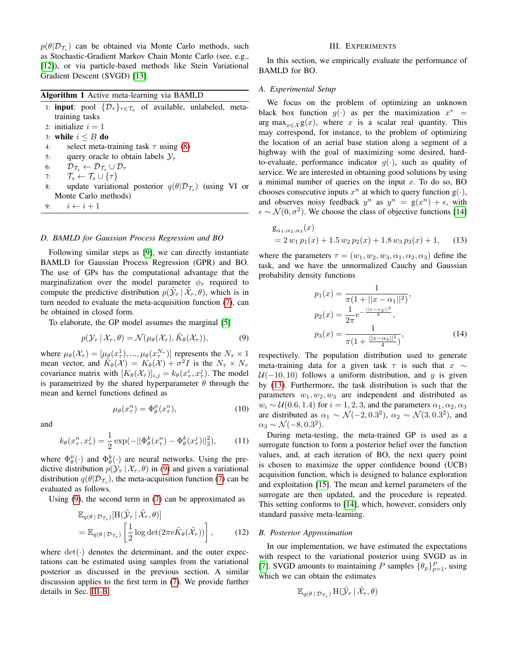$p(\theta | \mathcal{D}_{\mathcal{T}_s})$  can be obtained via Monte Carlo methods, such as Stochastic-Gradient Markov Chain Monte Carlo (see, e.g., [\[12\]](#page-4-11)), or via particle-based methods like Stein Variational Gradient Descent (SVGD) [\[13\]](#page-4-12).

|  |  | Algorithm 1 Active meta-learning via BAMLD |  |  |
|--|--|--------------------------------------------|--|--|
|--|--|--------------------------------------------|--|--|

- 1: **input**: pool  $\{\mathcal{D}_{\tau}\}_{{\tau \in \mathcal{T}_a}}$  of available, unlabeled, metatraining tasks 2: initialize  $i = 1$
- 3: while  $i \leq B$  do
- 4: select meta-training task  $\tau$  using [\(8\)](#page-2-5)
- 5: query oracle to obtain labels  $\mathcal{Y}_{\tau}$
- 6:  $\mathcal{D}_{\mathcal{T}_s} \leftarrow \mathcal{D}_{\mathcal{T}_s} \cup \mathcal{D}_{\tau}$
- 7:  $\mathcal{T}_s \leftarrow \mathcal{T}_s \cup \{\tau\}$
- 8: update variational posterior  $q(\theta | \mathcal{D}_{\mathcal{T}_s})$  (using VI or Monte Carlo methods)
- 9:  $i \leftarrow i+1$

## *D. BAMLD for Gaussian Process Regression and BO*

Following similar steps as [\[9\]](#page-4-8), we can directly instantiate BAMLD for Gaussian Process Regression (GPR) and BO. The use of GPs has the computational advantage that the marginalization over the model parameter  $\phi_{\tau}$  required to compute the predictive distribution  $p(\tilde{\mathcal{Y}}_{\tau} | \tilde{\mathcal{X}}_{\tau}, \theta)$ , which is in turn needed to evaluate the meta-acquisition function [\(7\)](#page-2-4), can be obtained in closed form.

To elaborate, the GP model assumes the marginal [\[5\]](#page-4-4)

$$
p(\mathcal{Y}_{\tau} | \mathcal{X}_{\tau}, \theta) = \mathcal{N}(\mu_{\theta}(\mathcal{X}_{\tau}), \tilde{K}_{\theta}(\mathcal{X}_{\tau})), \tag{9}
$$

where  $\mu_{\theta}(\mathcal{X}_{\tau}) = [\mu_{\theta}(x_{\tau}^1), ..., \mu_{\theta}(x_{\tau}^{N_{\tau}})]$  represents the  $N_{\tau} \times 1$ mean vector, and  $\tilde{K}_{\theta}(\mathcal{X}) = K_{\theta}(\mathcal{X}) + \sigma^2 I$  is the  $N_{\tau} \times N_{\tau}$ covariance matrix with  $[K_{\theta}(\mathcal{X}_{\tau})]_{i,j} = k_{\theta}(x_{\tau}^{i}, x_{\tau}^{j})$ . The model is parametrized by the shared hyperparameter  $\theta$  through the mean and kernel functions defined as

$$
\mu_{\theta}(x_{\tau}^{n}) = \Phi_{\theta}^{\mu}(x_{\tau}^{n}), \qquad (10)
$$

and

$$
k_{\theta}(x_{\tau}^n, x_{\tau}^j) = \frac{1}{2} \exp(-||\Phi_{\theta}^k(x_{\tau}^n) - \Phi_{\theta}^k(x_{\tau}^j)||_2^2), \quad (11)
$$

where  $\Phi_{\theta}^{\mu}(\cdot)$  and  $\Phi_{\theta}^{k}(\cdot)$  are neural networks. Using the predictive distribution  $p(\mathcal{Y}_\tau | \mathcal{X}_\tau, \theta)$  in [\(9\)](#page-3-0) and given a variational distribution  $q(\theta | \mathcal{D}_{\mathcal{T}_s})$ , the meta-acquisition function [\(7\)](#page-2-4) can be evaluated as follows.

Using [\(9\)](#page-3-0), the second term in [\(7\)](#page-2-4) can be approximated as

$$
\mathbb{E}_{q(\theta | \mathcal{D}_{\mathcal{T}_s})}[\mathcal{H}(\tilde{\mathcal{Y}}_{\tau} | \tilde{\mathcal{X}}_{\tau}, \theta)]
$$
\n
$$
= \mathbb{E}_{q(\theta | \mathcal{D}_{\mathcal{T}_s})} \left[ \frac{1}{2} \log \det(2\pi e \tilde{K}_{\theta}(\tilde{\mathcal{X}}_{\tau})) \right],
$$
\n(12)

where  $det(\cdot)$  denotes the determinant, and the outer expectations can be estimated using samples from the variational posterior as discussed in the previous section. A similar discussion applies to the first term in [\(7\)](#page-2-4). We provide further details in Sec. [III-B.](#page-3-1)

## III. EXPERIMENTS

In this section, we empirically evaluate the performance of BAMLD for BO.

#### *A. Experimental Setup*

We focus on the problem of optimizing an unknown black box function  $g(\cdot)$  as per the maximization  $x^*$  = arg max $x \in \mathcal{X}$  g(x), where x is a scalar real quantity. This may correspond, for instance, to the problem of optimizing the location of an aerial base station along a segment of a highway with the goal of maximizing some desired, hardto-evaluate, performance indicator  $g(\cdot)$ , such as quality of service. We are interested in obtaining good solutions by using a minimal number of queries on the input  $x$ . To do so, BO chooses consecutive inputs  $x^n$  at which to query function  $g(\cdot)$ , and observes noisy feedback  $y^n$  as  $y^n = g(x^n) + \epsilon$ , with  $\epsilon \sim \mathcal{N}(0, \sigma^2)$ . We choose the class of objective functions [\[14\]](#page-4-13)

$$
g_{\alpha_1, \alpha_2, \alpha_3}(x)
$$
  
= 2 w<sub>1</sub> p<sub>1</sub>(x) + 1.5 w<sub>2</sub> p<sub>2</sub>(x) + 1.8 w<sub>3</sub> p<sub>3</sub>(x) + 1, (13)

where the parameters  $\tau = (w_1, w_2, w_3, \alpha_1, \alpha_2, \alpha_3)$  define the task, and we have the unnormalized Cauchy and Gaussian probability density functions

<span id="page-3-2"></span>
$$
p_1(x) = \frac{1}{\pi (1 + ||x - \alpha_1||^2)},
$$
  
\n
$$
p_2(x) = \frac{1}{2\pi} e^{-\frac{||x - \alpha_2||^2}{8}},
$$
  
\n
$$
p_3(x) = \frac{1}{\pi (1 + \frac{||x - \alpha_3||^2}{4})},
$$
\n(14)

<span id="page-3-0"></span>respectively. The population distribution used to generate meta-training data for a given task  $\tau$  is such that  $x \sim$  $U(-10, 10)$  follows a uniform distribution, and y is given by [\(13\)](#page-3-2). Furthermore, the task distribution is such that the parameters  $w_1, w_2, w_3$  are independent and distributed as  $w_i \sim \mathcal{U}(0.6, 1.4)$  for  $i = 1, 2, 3$ , and the parameters  $\alpha_1, \alpha_2, \alpha_3$ are distributed as  $\alpha_1 \sim \mathcal{N}(-2, 0.3^2)$ ,  $\alpha_2 \sim \mathcal{N}(3, 0.3^2)$ , and  $\alpha_3 \sim \mathcal{N}(-8, 0.3^2).$ 

During meta-testing, the meta-trained GP is used as a surrogate function to form a posterior belief over the function values, and, at each iteration of BO, the next query point is chosen to maximize the upper confidence bound (UCB) acquisition function, which is designed to balance exploration and exploitation [\[15\]](#page-4-14). The mean and kernel parameters of the surrogate are then updated, and the procedure is repeated. This setting conforms to [\[14\]](#page-4-13), which, however, considers only standard passive meta-learning.

#### <span id="page-3-1"></span>*B. Posterior Approximation*

In our implementation, we have estimated the expectations with respect to the variational posterior using SVGD as in [\[7\]](#page-4-6). SVGD amounts to maintaining P samples  $\{\theta_p\}_{p=1}^P$ , using which we can obtain the estimates

$$
\mathbb{E}_{q(\theta\,|\,\mathcal{D}_{\mathcal{T}_s})}\operatorname{H}(\tilde{\mathcal{Y}}_{\tau}\,|\,\tilde{\mathcal{X}}_{\tau},\theta)
$$